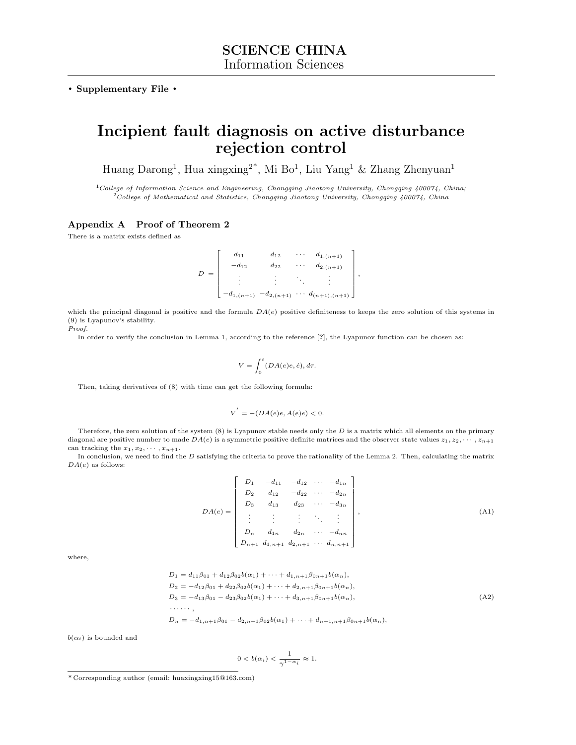. Supplementary File .

# Incipient fault diagnosis on active disturbance rejection control

Huang Darong<sup>1</sup>, Hua xingxing<sup>2\*</sup>, Mi Bo<sup>1</sup>, Liu Yang<sup>1</sup> & Zhang Zhenyuan<sup>1</sup>

 $1$ College of Information Science and Engineering, Chongqing Jiaotong University, Chongqing 400074, China;  $2^2$ College of Mathematical and Statistics, Chongqing Jiaotong University, Chongqing 400074, China

### Appendix A Proof of Theorem 2

There is a matrix exists defined as

$$
D = \begin{bmatrix} d_{11} & d_{12} & \cdots & d_{1,(n+1)} \\ -d_{12} & d_{22} & \cdots & d_{2,(n+1)} \\ \vdots & \vdots & \ddots & \vdots \\ -d_{1,(n+1)} & -d_{2,(n+1)} & \cdots & d_{(n+1),(n+1)} \end{bmatrix},
$$

which the principal diagonal is positive and the formula  $DA(e)$  positive definiteness to keeps the zero solution of this systems in (9) is Lyapunov's stability. Proof.

In order to verify the conclusion in Lemma 1, according to the reference [?], the Lyapunov function can be chosen as:

$$
V = \int_0^t (DA(e)e, \dot{e}), d\tau.
$$

Then, taking derivatives of (8) with time can get the following formula:

$$
V^{'} = -(DA(e)e, A(e)e) < 0.
$$

Therefore, the zero solution of the system  $(8)$  is Lyapunov stable needs only the  $D$  is a matrix which all elements on the primary diagonal are positive number to made  $DA(e)$  is a symmetric positive definite matrices and the observer state values  $z_1, z_2, \dots, z_{n+1}$ can tracking the  $x_1, x_2, \cdots, x_{n+1}$ .

In conclusion, we need to find the  $D$  satisfying the criteria to prove the rationality of the Lemma 2. Then, calculating the matrix  $DA(e)$  as follows:

$$
DA(e) = \begin{bmatrix} D_1 & -d_{11} & -d_{12} & \cdots & -d_{1n} \\ D_2 & d_{12} & -d_{22} & \cdots & -d_{2n} \\ D_3 & d_{13} & d_{23} & \cdots & -d_{3n} \\ \vdots & \vdots & \vdots & \ddots & \vdots \\ D_n & d_{1n} & d_{2n} & \cdots & -d_{nn} \\ D_{n+1} & d_{1,n+1} & d_{2,n+1} & \cdots & d_{n,n+1} \end{bmatrix},
$$
\n(A1)

where,

$$
D_1 = d_{11}\beta_{01} + d_{12}\beta_{02}b(\alpha_1) + \cdots + d_{1,n+1}\beta_{0n+1}b(\alpha_n),
$$
  
\n
$$
D_2 = -d_{12}\beta_{01} + d_{22}\beta_{02}b(\alpha_1) + \cdots + d_{2,n+1}\beta_{0n+1}b(\alpha_n),
$$
  
\n
$$
D_3 = -d_{13}\beta_{01} - d_{23}\beta_{02}b(\alpha_1) + \cdots + d_{3,n+1}\beta_{0n+1}b(\alpha_n),
$$
  
\n
$$
\cdots
$$
  
\n
$$
D_n = -d_{1,n+1}\beta_{01} - d_{2,n+1}\beta_{02}b(\alpha_1) + \cdots + d_{n+1,n+1}\beta_{0n+1}b(\alpha_n),
$$
  
\n(A2)

 $b(\alpha_i)$  is bounded and

$$
0
$$

<sup>\*</sup> Corresponding author (email: huaxingxing15@163.com)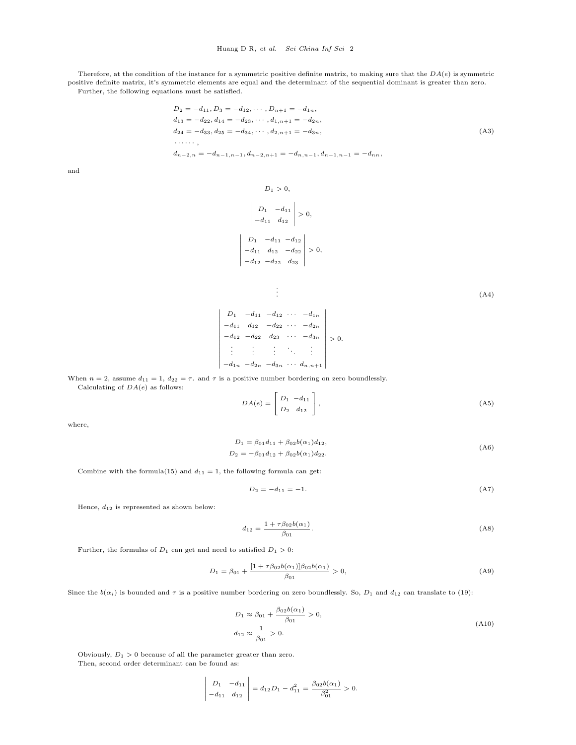Therefore, at the condition of the instance for a symmetric positive definite matrix, to making sure that the  $DA(e)$  is symmetric positive definite matrix, it's symmetric elements are equal and the determinant of the sequential dominant is greater than zero. Further, the following equations must be satisfied.

$$
D_2 = -d_{11}, D_3 = -d_{12}, \dots, D_{n+1} = -d_{1n},
$$
  
\n
$$
d_{13} = -d_{22}, d_{14} = -d_{23}, \dots, d_{1,n+1} = -d_{2n},
$$
  
\n
$$
d_{24} = -d_{33}, d_{25} = -d_{34}, \dots, d_{2,n+1} = -d_{3n},
$$
  
\n
$$
\dots
$$
  
\n
$$
d_{n-2,n} = -d_{n-1,n-1}, d_{n-2,n+1} = -d_{n,n-1}, d_{n-1,n-1} = -d_{nn},
$$
  
\n(A3)

and

 $D_1 > 0,$ 

$$
\begin{vmatrix} D_1 & -d_{11} \ -d_{11} & d_{12} \end{vmatrix} > 0,
$$
  

$$
\begin{vmatrix} D_1 & -d_{11} & -d_{12} \ -d_{11} & d_{12} & -d_{22} \ -d_{22} & d_{23} \end{vmatrix} > 0,
$$

. .

.  $(A4)$ 

$$
\begin{vmatrix}\nD_1 & -d_{11} & -d_{12} & \cdots & -d_{1n} \\
-d_{11} & d_{12} & -d_{22} & \cdots & -d_{2n} \\
-d_{12} & -d_{22} & d_{23} & \cdots & -d_{3n} \\
\vdots & \vdots & \vdots & \ddots & \vdots \\
-d_{1n} & -d_{2n} & -d_{3n} & \cdots & d_{n,n+1}\n\end{vmatrix} > 0.
$$

When  $n = 2$ , assume  $d_{11} = 1$ ,  $d_{22} = \tau$ . and  $\tau$  is a positive number bordering on zero boundlessly.

Calculating of  $DA(e)$  as follows:

$$
DA(e) = \begin{bmatrix} D_1 & -d_{11} \\ D_2 & d_{12} \end{bmatrix},
$$
 (A5)

where,

$$
D_1 = \beta_{01} d_{11} + \beta_{02} b(\alpha_1) d_{12},
$$
  
\n
$$
D_2 = -\beta_{01} d_{12} + \beta_{02} b(\alpha_1) d_{22}.
$$
\n(A6)

Combine with the formula(15) and  $d_{11} = 1$ , the following formula can get:

$$
D_2 = -d_{11} = -1.\t\t(A7)
$$

Hence,  $\boldsymbol{d}_{12}$  is represented as shown below:

$$
d_{12} = \frac{1 + \tau \beta_{02} b(\alpha_1)}{\beta_{01}}.
$$
\n(A8)

Further, the formulas of  $D_1$  can get and need to satisfied  $D_1 > 0$ :

$$
D_1 = \beta_{01} + \frac{[1 + \tau \beta_{02} b(\alpha_1)] \beta_{02} b(\alpha_1)}{\beta_{01}} > 0,
$$
\n(A9)

Since the  $b(\alpha_i)$  is bounded and  $\tau$  is a positive number bordering on zero boundlessly. So,  $D_1$  and  $d_{12}$  can translate to (19):

$$
D_1 \approx \beta_{01} + \frac{\beta_{02}b(\alpha_1)}{\beta_{01}} > 0,
$$
  

$$
d_{12} \approx \frac{1}{\beta_{01}} > 0.
$$
 (A10)

Obviously,  $D_1 > 0$  because of all the parameter greater than zero. Then, second order determinant can be found as:

$$
\begin{vmatrix} D_1 & -d_{11} \ -d_{11} & d_{12} \end{vmatrix} = d_{12}D_1 - d_{11}^2 = \frac{\beta_{02}b(\alpha_1)}{\beta_{01}^2} > 0.
$$

⃒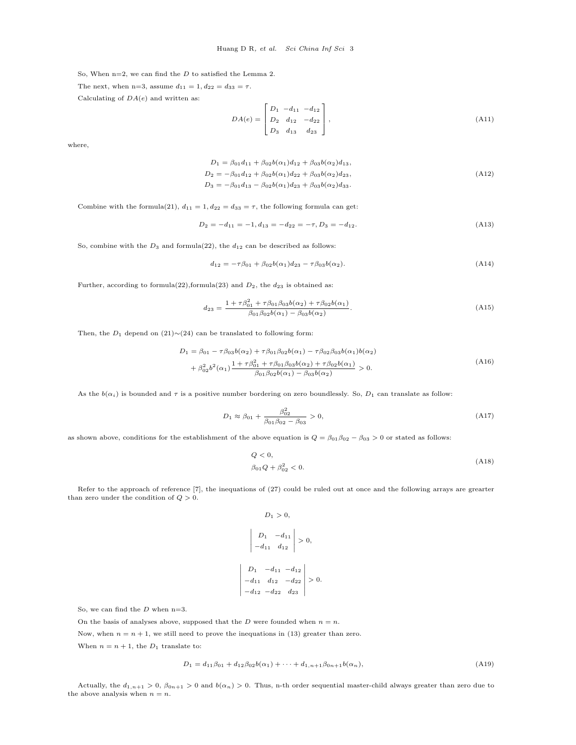So, When  $n=2$ , we can find the  $D$  to satisfied the Lemma 2.

The next, when n=3, assume  $d_{11} = 1, d_{22} = d_{33} = \tau$ .

Calculating of  $DA(e)$  and written as:

$$
DA(e) = \begin{bmatrix} D_1 & -d_{11} & -d_{12} \\ D_2 & d_{12} & -d_{22} \\ D_3 & d_{13} & d_{23} \end{bmatrix},
$$
\n(A11)

where,

$$
D_1 = \beta_{01}d_{11} + \beta_{02}b(\alpha_1)d_{12} + \beta_{03}b(\alpha_2)d_{13},
$$
  
\n
$$
D_2 = -\beta_{01}d_{12} + \beta_{02}b(\alpha_1)d_{22} + \beta_{03}b(\alpha_2)d_{23},
$$
  
\n
$$
D_3 = -\beta_{01}d_{13} - \beta_{02}b(\alpha_1)d_{23} + \beta_{03}b(\alpha_2)d_{33}.
$$
\n(A12)

Combine with the formula(21),  $d_{11} = 1, d_{22} = d_{33} = \tau$ , the following formula can get:

$$
D_2 = -d_{11} = -1, d_{13} = -d_{22} = -\tau, D_3 = -d_{12}.
$$
\n(A13)

So, combine with the  $D_3$  and formula(22), the  $d_{12}$  can be described as follows:

$$
d_{12} = -\tau \beta_{01} + \beta_{02} b(\alpha_1) d_{23} - \tau \beta_{03} b(\alpha_2). \tag{A14}
$$

Further, according to formula(22), formula(23) and  $D_2$ , the  $d_{23}$  is obtained as:

$$
d_{23} = \frac{1 + \tau \beta_{01}^2 + \tau \beta_{01} \beta_{03} b(\alpha_2) + \tau \beta_{02} b(\alpha_1)}{\beta_{01} \beta_{02} b(\alpha_1) - \beta_{03} b(\alpha_2)}.
$$
\n(A15)

Then, the  $D_1$  depend on (21)∼(24) can be translated to following form:

$$
D_1 = \beta_{01} - \tau \beta_{03} b(\alpha_2) + \tau \beta_{01} \beta_{02} b(\alpha_1) - \tau \beta_{02} \beta_{03} b(\alpha_1) b(\alpha_2)
$$
  
+  $\beta_{02}^2 b^2(\alpha_1) \frac{1 + \tau \beta_{01}^2 + \tau \beta_{01} \beta_{03} b(\alpha_2) + \tau \beta_{02} b(\alpha_1)}{\beta_{01} \beta_{02} b(\alpha_1) - \beta_{03} b(\alpha_2)} > 0.$  (A16)

As the  $b(\alpha_i)$  is bounded and  $\tau$  is a positive number bordering on zero boundlessly. So,  $D_1$  can translate as follow:

$$
D_1 \approx \beta_{01} + \frac{\beta_{02}^2}{\beta_{01}\beta_{02} - \beta_{03}} > 0,
$$
\n(A17)

as shown above, conditions for the establishment of the above equation is  $Q = \beta_{01}\beta_{02} - \beta_{03} > 0$  or stated as follows:

$$
Q < 0,
$$
\n
$$
\beta_{01}Q + \beta_{02}^2 < 0.
$$
\n(A18)

Refer to the approach of reference [\[7\]](#page-8-0), the inequations of (27) could be ruled out at once and the following arrays are grearter than zero under the condition of  $Q > 0$ .

$$
D_1 > 0,
$$
  
\n
$$
\begin{vmatrix} D_1 & -d_{11} \\ -d_{11} & d_{12} \end{vmatrix} > 0,
$$
  
\n
$$
D_1 \begin{vmatrix} -d_{11} & -d_{12} \\ -d_{11} & d_{12} & -d_{22} \\ -d_{12} & -d_{22} & d_{23} \end{vmatrix} > 0.
$$

So, we can find the  $D$  when n=3.

On the basis of analyses above, supposed that the  $D$  were founded when  $n = n$ .

Now, when  $n = n + 1$ , we still need to prove the inequations in (13) greater than zero. When  $n = n + 1$ , the  $D_1$  translate to:

 $\begin{array}{c} \hline \end{array}$  $\frac{1}{2}$  $\frac{1}{2}$  $\frac{1}{2}$  $\frac{1}{2}$  $\frac{1}{2}$  $\frac{1}{2}$  $\overline{\phantom{a}}$ 

$$
D_1 = d_{11}\beta_{01} + d_{12}\beta_{02}b(\alpha_1) + \dots + d_{1,n+1}\beta_{0n+1}b(\alpha_n),\tag{A19}
$$

Actually, the  $d_{1,n+1} > 0$ ,  $\beta_{0n+1} > 0$  and  $b(\alpha_n) > 0$ . Thus, n-th order sequential master-child always greater than zero due to the above analysis when  $n = n$ .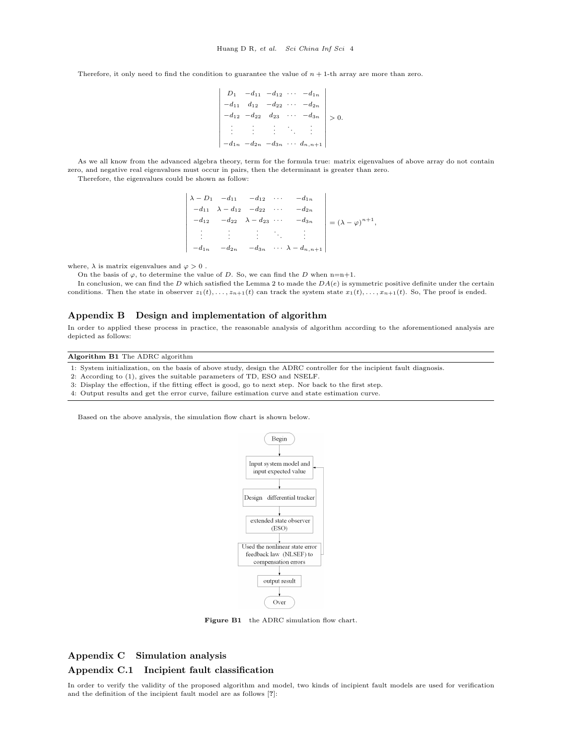Therefore, it only need to find the condition to guarantee the value of  $n + 1$ -th array are more than zero.

$$
\begin{vmatrix}\nD_1 & -d_{11} & -d_{12} & \cdots & -d_{1n} \\
-d_{11} & d_{12} & -d_{22} & \cdots & -d_{2n} \\
-d_{12} & -d_{22} & d_{23} & \cdots & -d_{3n} \\
\vdots & \vdots & \vdots & \ddots & \vdots \\
-d_{1n} & -d_{2n} & -d_{3n} & \cdots & d_{n,n+1}\n\end{vmatrix} > 0.
$$

As we all know from the advanced algebra theory, term for the formula true: matrix eigenvalues of above array do not contain zero, and negative real eigenvalues must occur in pairs, then the determinant is greater than zero.

Therefore, the eigenvalues could be shown as follow:

 $\blacksquare$  $\lambda - D_1$   $-d_{11}$   $-d_{12}$   $\cdots$   $-d_{1n}$  $-d_{11} \lambda - d_{12} - d_{22} \cdots - d_{2n}$  $-d_{12}$   $-d_{22}$   $\lambda - d_{23}$   $\cdots$   $-d_{3n}$ . . . . . . . . . . . . . . .  $-d_{1n}$   $-d_{2n}$   $-d_{3n}$   $\cdots$   $\lambda - d_{n,n+1}$ ⃒ ⃒ ⃒ ⃒ ⃒ ⃒ ⃒ ⃒ ⃒ ⃒ ⃒ ⃒ ⃒ ⃒ ⃒  $= (\lambda - \varphi)^{n+1},$ 

where,  $\lambda$  is matrix eigenvalues and  $\varphi > 0$ .

On the basis of  $\varphi$ , to determine the value of D. So, we can find the D when n=n+1.

In conclusion, we can find the  $D$  which satisfied the Lemma 2 to made the  $DA(e)$  is symmetric positive definite under the certain conditions. Then the state in observer  $z_1(t), \ldots, z_{n+1}(t)$  can track the system state  $x_1(t), \ldots, x_{n+1}(t)$ . So, The proof is ended.

#### Appendix B Design and implementation of algorithm

In order to applied these process in practice, the reasonable analysis of algorithm according to the aforementioned analysis are depicted as follows:

#### Algorithm B1 The ADRC algorithm

1: System initialization, on the basis of above study, design the ADRC controller for the incipient fault diagnosis.

2: According to (1), gives the suitable parameters of TD, ESO and NSELF.

3: Display the effection, if the fitting effect is good, go to next step. Nor back to the first step.

4: Output results and get the error curve, failure estimation curve and state estimation curve.

Based on the above analysis, the simulation flow chart is shown below.



Figure B1 the ADRC simulation flow chart.

## Appendix C Simulation analysis Appendix C.1 Incipient fault classification

In order to verify the validity of the proposed algorithm and model, two kinds of incipient fault models are used for verification and the definition of the incipient fault model are as follows [?]: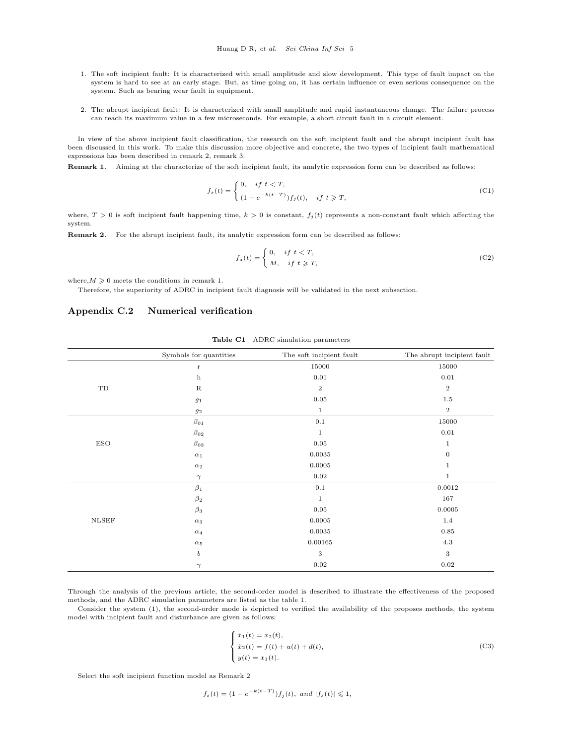- 1. The soft incipient fault: It is characterized with small amplitude and slow development. This type of fault impact on the system is hard to see at an early stage. But, as time going on, it has certain influence or even serious consequence on the system. Such as bearing wear fault in equipment.
- 2. The abrupt incipient fault: It is characterized with small amplitude and rapid instantaneous change. The failure process can reach its maximum value in a few microseconds. For example, a short circuit fault in a circuit element.

In view of the above incipient fault classification, the research on the soft incipient fault and the abrupt incipient fault has been discussed in this work. To make this discussion more objective and concrete, the two types of incipient fault mathematical expressions has been described in remark 2, remark 3.

Remark 1. Aiming at the characterize of the soft incipient fault, its analytic expression form can be described as follows:

$$
f_s(t) = \begin{cases} 0, & if \ t < T, \\ (1 - e^{-k(t - T)}) f_j(t), & if \ t \geq T, \end{cases}
$$
 (C1)

where,  $T > 0$  is soft incipient fault happening time,  $k > 0$  is constant,  $f_j(t)$  represents a non-constant fault which affecting the system.

Remark 2. For the abrupt incipient fault, its analytic expression form can be described as follows:

$$
f_a(t) = \begin{cases} 0, & if \ t < T, \\ M, & if \ t \geqslant T, \end{cases}
$$
 (C2)

where,  $M \geqslant 0$  meets the conditions in remark 1.

Therefore, the superiority of ADRC in incipient fault diagnosis will be validated in the next subsection.

#### Appendix C.2 Numerical verification

|              | Symbols for quantities | The soft incipient fault | The abrupt incipient fault |
|--------------|------------------------|--------------------------|----------------------------|
| TD           | $\mathbf r$            | 15000                    | 15000                      |
|              | $\mathbf h$            | $\rm 0.01$               | $0.01\,$                   |
|              | $\mathbf R$            | $\,2$                    | $\,2$                      |
|              | $g_1$                  | $\rm 0.05$               | $1.5\,$                    |
|              | $\mathfrak{g}_2$       | $\mathbf{1}$             | $\mathbf{2}$               |
| <b>ESO</b>   | $\beta_{01}$           | $0.1\,$                  | 15000                      |
|              | $\beta_{02}$           | $1\,$                    | $0.01\,$                   |
|              | $\beta_{03}$           | $0.05\,$                 | $\mathbf{1}$               |
|              | $\alpha_1$             | 0.0035                   | $\theta$                   |
|              | $\alpha_2$             | 0.0005                   | $\,1$                      |
|              | $\gamma$               | $\rm 0.02$               | $\mathbf{1}$               |
| <b>NLSEF</b> | $\beta_1$              | 0.1                      | 0.0012                     |
|              | $\beta_2$              | $\mathbf{1}$             | 167                        |
|              | $\beta_3$              | $0.05\,$                 | 0.0005                     |
|              | $\alpha_3$             | 0.0005                   | $1.4\,$                    |
|              | $\alpha_4$             | 0.0035                   | $\rm 0.85$                 |
|              | $\alpha_5$             | 0.00165                  | $4.3\,$                    |
|              | $\boldsymbol{b}$       | $\sqrt{3}$               | $\,3$                      |
|              | $\gamma$               | $0.02\,$                 | $0.02\,$                   |

Table C1 ADRC simulation parameters

Through the analysis of the previous article, the second-order model is described to illustrate the effectiveness of the proposed methods, and the ADRC simulation parameters are listed as the table 1.

Consider the system (1), the second-order mode is depicted to verified the availability of the proposes methods, the system model with incipient fault and disturbance are given as follows:

$$
\begin{cases}\n\dot{x}_1(t) = x_2(t), \\
\dot{x}_2(t) = f(t) + u(t) + d(t), \\
y(t) = x_1(t).\n\end{cases}
$$
\n(C3)

Select the soft incipient function model as Remark 2

$$
f_s(t) = (1 - e^{-k(t-T)})f_j(t), \text{ and } |f_s(t)| \leq 1,
$$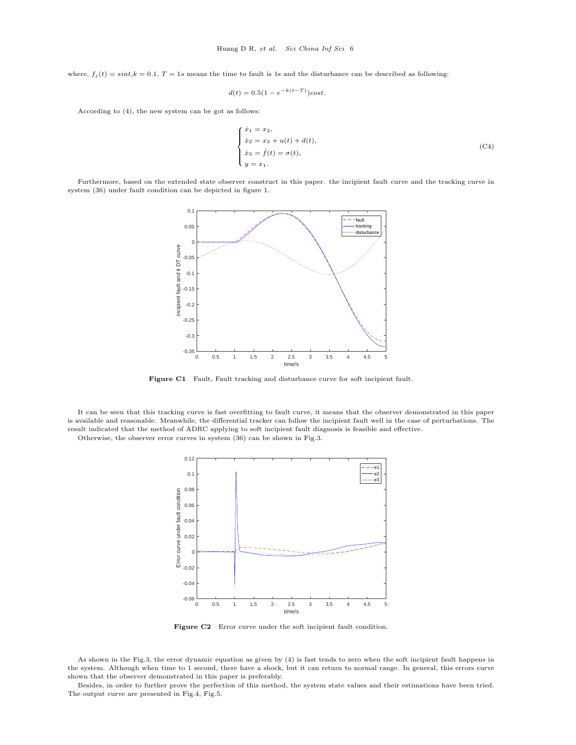where,  $f_i(t) = \text{sin}t, k = 0.1, T = 1s$  means the time to fault is 1s and the disturbance can be described as following:

$$
d(t) = 0.5(1 - e^{-k(t - T)})\cos t.
$$

According to (4), the new system can be got as follows:

$$
\begin{cases}\n\dot{x}_1 = x_2, \\
\dot{x}_2 = x_3 + u(t) + d(t), \\
\dot{x}_3 = \dot{f}(t) = \sigma(t), \\
y = x_1.\n\end{cases}
$$
\n(C4)

Furthermore, based on the extended state observer construct in this paper. the incipient fault curve and the tracking curve in system (36) under fault condition can be depicted in figure 1.



Figure C1 Fault, Fault tracking and disturbance curve for soft incipient fault.

It can be seen that this tracking curve is fast overfitting to fault curve, it means that the observer demonstrated in this paper is available and reasonable. Meanwhile, the differential tracker can follow the incipient fault well in the case of perturbations. The result indicated that the method of ADRC applying to soft incipient fault diagnosis is feasible and effective.

Otherwise, the observer error curves in system (36) can be shown in Fig.3.



Figure C2 Error curve under the soft incipient fault condition.

As shown in the Fig.3, the error dynamic equation as given by (4) is fast tends to zero when the soft incipient fault happens in the system. Although when time to 1 second, there have a shock, but it can return to normal range. In general, this errors curve shown that the observer demonstrated in this paper is preferably.

Besides, in order to further prove the perfection of this method, the system state values and their estimations have been tried. The output curve are presented in Fig.4, Fig.5.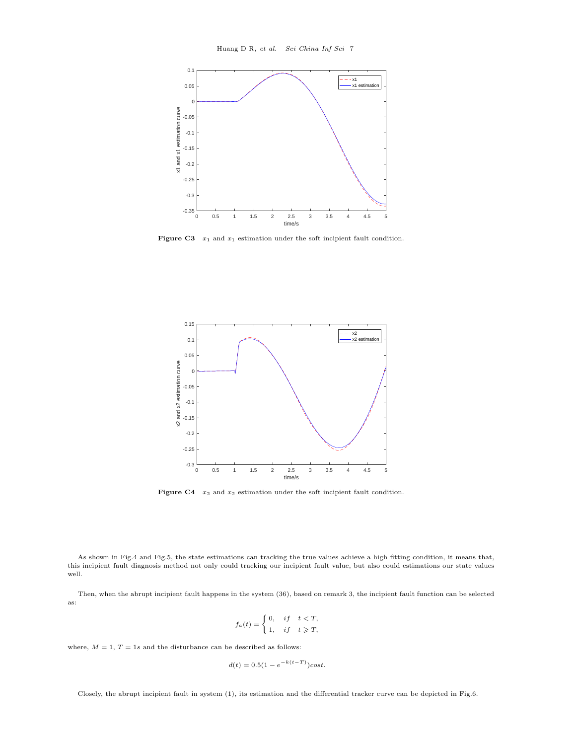

Figure C3  $x_1$  and  $x_1$  estimation under the soft incipient fault condition.



Figure C4  $x_2$  and  $x_2$  estimation under the soft incipient fault condition.

As shown in Fig.4 and Fig.5, the state estimations can tracking the true values achieve a high fitting condition, it means that, this incipient fault diagnosis method not only could tracking our incipient fault value, but also could estimations our state values well.

Then, when the abrupt incipient fault happens in the system (36), based on remark 3, the incipient fault function can be selected as:

$$
f_a(t) = \begin{cases} 0, & if \quad t < T, \\ 1, & if \quad t \geq T, \end{cases}
$$

where,  $M = 1$ ,  $T = 1s$  and the disturbance can be described as follows:

$$
d(t) = 0.5(1 - e^{-k(t-T)})cos t.
$$

Closely, the abrupt incipient fault in system (1), its estimation and the differential tracker curve can be depicted in Fig.6.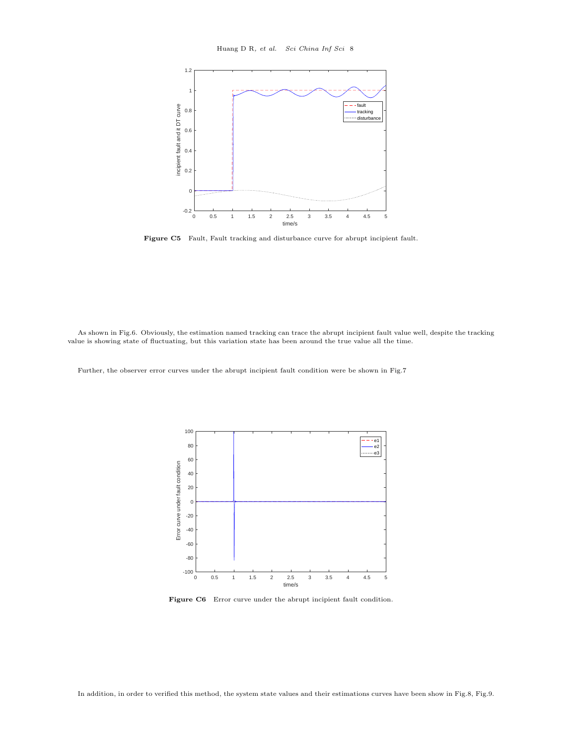

Figure C5 Fault, Fault tracking and disturbance curve for abrupt incipient fault.

As shown in Fig.6. Obviously, the estimation named tracking can trace the abrupt incipient fault value well, despite the tracking value is showing state of fluctuating, but this variation state has been around the true value all the time.

Further, the observer error curves under the abrupt incipient fault condition were be shown in Fig.7



Figure C6 Error curve under the abrupt incipient fault condition.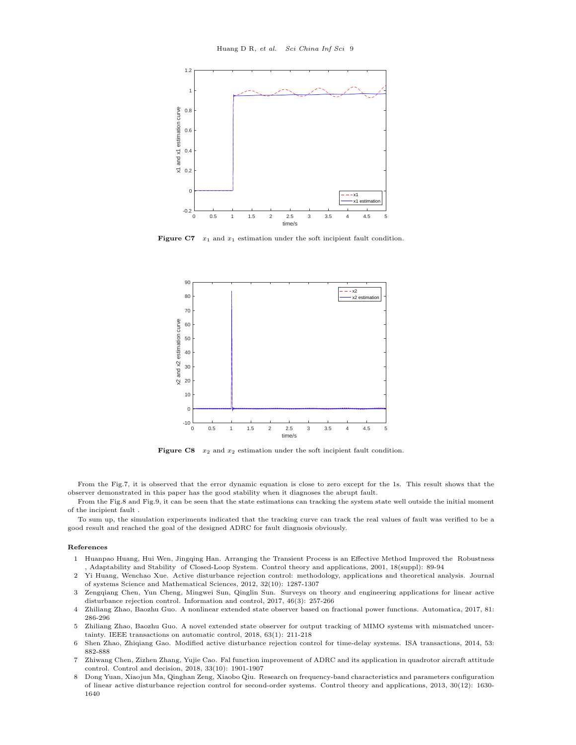

Figure C7  $x_1$  and  $x_1$  estimation under the soft incipient fault condition.



Figure C8  $x_2$  and  $x_2$  estimation under the soft incipient fault condition.

From the Fig.7, it is observed that the error dynamic equation is close to zero except for the 1s. This result shows that the observer demonstrated in this paper has the good stability when it diagnoses the abrupt fault.

From the Fig.8 and Fig.9, it can be seen that the state estimations can tracking the system state well outside the initial moment of the incipient fault .

To sum up, the simulation experiments indicated that the tracking curve can track the real values of fault was verified to be a good result and reached the goal of the designed ADRC for fault diagnosis obviously.

#### References

- 1 Huanpao Huang, Hui Wen, Jingqing Han. Arranging the Transient Process is an Effective Method Improved the Robustness , Adaptability and Stability of Closed-Loop System. Control theory and applications, 2001, 18(suppl): 89-94
- 2 Yi Huang, Wenchao Xue. Active disturbance rejection control: methodology, applications and theoretical analysis. Journal of systems Science and Mathematical Sciences, 2012, 32(10): 1287-1307
- 3 Zengqiang Chen, Yun Cheng, Mingwei Sun, Qinglin Sun. Surveys on theory and engineering applications for linear active disturbance rejection control. Information and control, 2017, 46(3): 257-266
- 4 Zhiliang Zhao, Baozhu Guo. A nonlinear extended state observer based on fractional power functions. Automatica, 2017, 81: 286-296
- 5 Zhiliang Zhao, Baozhu Guo. A novel extended state observer for output tracking of MIMO systems with mismatched uncertainty. IEEE transactions on automatic control, 2018, 63(1): 211-218
- 6 Shen Zhao, Zhiqiang Gao. Modified active disturbance rejection control for time-delay systems. ISA transactions, 2014, 53: 882-888
- <span id="page-8-0"></span>7 Zhiwang Chen, Zizhen Zhang, Yujie Cao. Fal function improvement of ADRC and its application in quadrotor aircraft attitude control. Control and decision, 2018, 33(10): 1901-1907
- 8 Dong Yuan, Xiaojun Ma, Qinghan Zeng, Xiaobo Qiu. Research on frequency-band characteristics and parameters configuration of linear active disturbance rejection control for second-order systems. Control theory and applications, 2013, 30(12): 1630- 1640